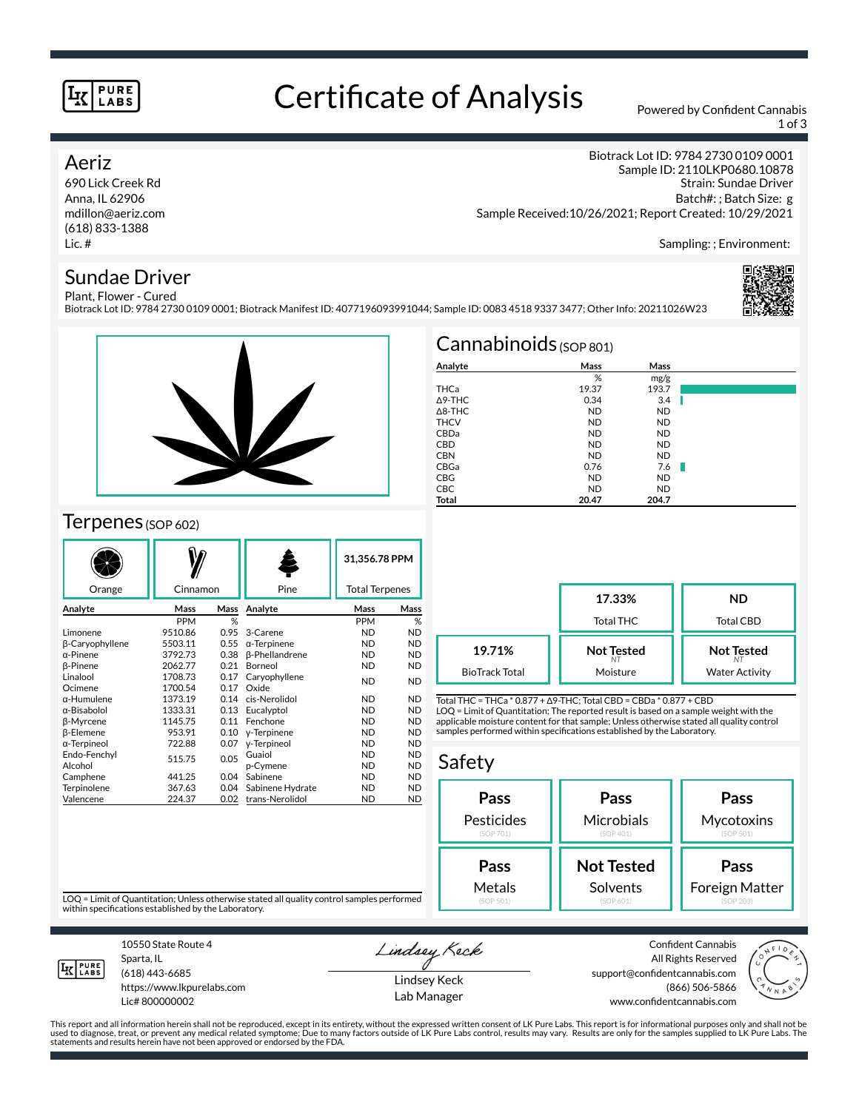#### **PURE LABS**

# Certificate of Analysis Powered by Confident Cannabis

1 of 3

### Aeriz

690 Lick Creek Rd Anna, IL 62906 mdillon@aeriz.com (618) 833-1388 Lic. #

Biotrack Lot ID: 9784 2730 0109 0001 Sample ID: 2110LKP0680.10878 Strain: Sundae Driver Batch#: ; Batch Size: g Sample Received:10/26/2021; Report Created: 10/29/2021

Sampling: ; Environment:

### Sundae Driver

Plant, Flower - Cured Biotrack Lot ID: 9784 2730 0109 0001; Biotrack Manifest ID: 4077196093991044; Sample ID: 0083 4518 9337 3477; Other Info: 20211026W23





## Terpenes (SOP 602)

| Orange                 | Cinnamon   |      | Pine                  | 31,356.78 PPM<br><b>Total Terpenes</b> |           |  |
|------------------------|------------|------|-----------------------|----------------------------------------|-----------|--|
|                        |            |      |                       |                                        |           |  |
| Analyte                | Mass       | Mass | Analyte               | Mass                                   | Mass      |  |
|                        | <b>PPM</b> | %    |                       | PPM                                    | %         |  |
| Limonene               | 9510.86    | 0.95 | 3-Carene              | <b>ND</b>                              | <b>ND</b> |  |
| <b>B-Caryophyllene</b> | 5503.11    | 0.55 | $\alpha$ -Terpinene   | ND.                                    | <b>ND</b> |  |
| $\alpha$ -Pinene       | 3792.73    | 0.38 | <b>ß-Phellandrene</b> | <b>ND</b>                              | <b>ND</b> |  |
| <b>ß-Pinene</b>        | 2062.77    | 0.21 | Borneol               | <b>ND</b>                              | <b>ND</b> |  |
| Linalool               | 1708.73    | 0.17 | Caryophyllene         | <b>ND</b>                              | <b>ND</b> |  |
| Ocimene                | 1700.54    | 0.17 | Oxide                 |                                        |           |  |
| α-Humulene             | 1373.19    | 0.14 | cis-Nerolidol         | ND.                                    | <b>ND</b> |  |
| α-Bisabolol            | 1333.31    | 0.13 | Eucalyptol            | <b>ND</b>                              | <b>ND</b> |  |
| β-Myrcene              | 1145.75    | 0.11 | Fenchone              | <b>ND</b>                              | <b>ND</b> |  |
| <b>ß-Elemene</b>       | 953.91     | 0.10 | y-Terpinene           | <b>ND</b>                              | <b>ND</b> |  |
| α-Terpineol            | 722.88     | 0.07 | y-Terpineol           | <b>ND</b>                              | <b>ND</b> |  |
| Endo-Fenchyl           | 515.75     | 0.05 | Guaiol                | <b>ND</b>                              | <b>ND</b> |  |
| Alcohol                |            |      | p-Cymene              | <b>ND</b>                              | <b>ND</b> |  |
| Camphene               | 441.25     | 0.04 | Sabinene              | <b>ND</b>                              | <b>ND</b> |  |
| Terpinolene            | 367.63     | 0.04 | Sabinene Hydrate      | <b>ND</b>                              | <b>ND</b> |  |
| Valencene              | 224.37     | 0.02 | trans-Nerolidol       | <b>ND</b>                              | <b>ND</b> |  |

| $Cannabinoids$ (SOP 801) |           |           |  |  |  |  |
|--------------------------|-----------|-----------|--|--|--|--|
| Analyte                  | Mass      | Mass      |  |  |  |  |
|                          | %         | mg/g      |  |  |  |  |
| THCa                     | 19.37     | 193.7     |  |  |  |  |
| $\Delta$ 9-THC           | 0.34      | 3.4       |  |  |  |  |
| $\triangle$ 8-THC        | <b>ND</b> | <b>ND</b> |  |  |  |  |
| <b>THCV</b>              | <b>ND</b> | <b>ND</b> |  |  |  |  |
| CBDa                     | <b>ND</b> | <b>ND</b> |  |  |  |  |
| <b>CBD</b>               | <b>ND</b> | <b>ND</b> |  |  |  |  |
| <b>CBN</b>               | <b>ND</b> | <b>ND</b> |  |  |  |  |
| CBGa                     | 0.76      | 7.6       |  |  |  |  |
| <b>CBG</b>               | <b>ND</b> | <b>ND</b> |  |  |  |  |
| <b>CBC</b>               | <b>ND</b> | <b>ND</b> |  |  |  |  |
| Total                    | 20.47     | 204.7     |  |  |  |  |

|                       | 17.33%<br>Total THC | ND<br>Total CBD       |
|-----------------------|---------------------|-----------------------|
| 19.71%                | <b>Not Tested</b>   | <b>Not Tested</b>     |
| <b>BioTrack Total</b> | Moisture            | <b>Water Activity</b> |

Total THC = THCa \* 0.877 + ∆9-THC; Total CBD = CBDa \* 0.877 + CBD LOQ = Limit of Quantitation; The reported result is based on a sample weight with the applicable moisture content for that sample; Unless otherwise stated all quality control samples performed within specifications established by the Laboratory.

## Safety



LOQ = Limit of Quantitation; Unless otherwise stated all quality control samples performed within specifications established by the Laboratory.



10550 State Route 4 Sparta, IL (618) 443-6685

https://www.lkpurelabs.com Lic# 800000002

Lindsey Keck

Lindsey Keck Lab Manager

Confident Cannabis All Rights Reserved support@confidentcannabis.com (866) 506-5866 www.confidentcannabis.com



This report and all information herein shall not be reproduced, except in its entirety, without the expressed written consent of LK Pure Labs. This report is for informational purposes only and shall not be<br>used to diagnos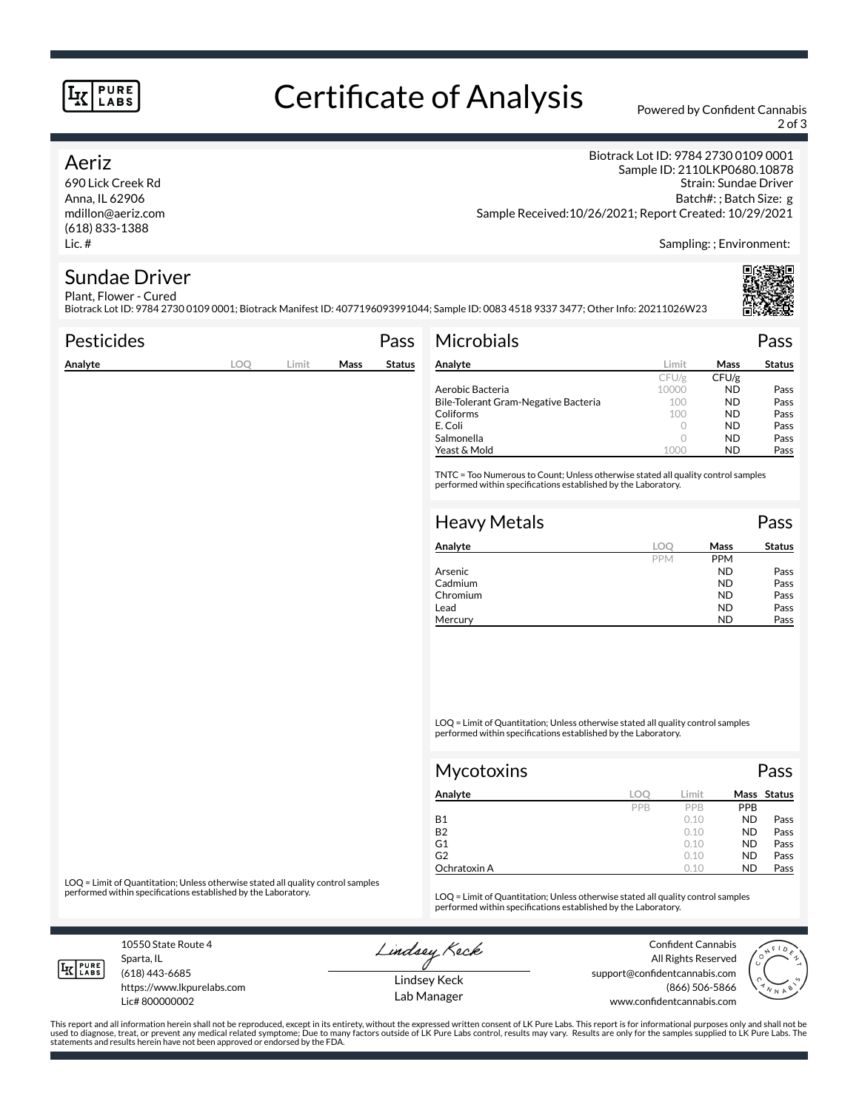#### **PURE LABS**

# Certificate of Analysis Powered by Confident Cannabis

2 of 3

#### Aeriz

690 Lick Creek Rd Anna, IL 62906 mdillon@aeriz.com (618) 833-1388 Lic. #

Biotrack Lot ID: 9784 2730 0109 0001 Sample ID: 2110LKP0680.10878 Strain: Sundae Driver Batch#: ; Batch Size: g Sample Received:10/26/2021; Report Created: 10/29/2021

Sampling: ; Environment:

#### Sundae Driver Plant, Flower - Cured

Biotrack Lot ID: 9784 2730 0109 0001; Biotrack Manifest ID: 4077196093991044; Sample ID: 0083 4518 9337 3477; Other Info: 20211026W23

| <b>Pesticides</b> |     |       |      | Pass          | <b>Microbials</b>                                                                                                                                   |            |       | Pass          |
|-------------------|-----|-------|------|---------------|-----------------------------------------------------------------------------------------------------------------------------------------------------|------------|-------|---------------|
| Analyte           | LOQ | Limit | Mass | <b>Status</b> | Analyte                                                                                                                                             | Limit      | Mass  | <b>Status</b> |
|                   |     |       |      |               |                                                                                                                                                     | CFU/g      | CFU/g |               |
|                   |     |       |      |               | Aerobic Bacteria                                                                                                                                    | 10000      | ND.   | Pass          |
|                   |     |       |      |               | Bile-Tolerant Gram-Negative Bacteria                                                                                                                | 100        | ND.   | Pass          |
|                   |     |       |      |               | Coliforms                                                                                                                                           | 100        | ND.   | Pass          |
|                   |     |       |      |               | E. Coli                                                                                                                                             | $\circ$    | ND.   | Pass          |
|                   |     |       |      |               | Salmonella                                                                                                                                          | $\circ$    | ND.   | Pass          |
|                   |     |       |      |               | Yeast & Mold                                                                                                                                        | 1000       | ND.   | Pass          |
|                   |     |       |      |               | TNTC = Too Numerous to Count; Unless otherwise stated all quality control samples<br>performed within specifications established by the Laboratory. |            |       |               |
|                   |     |       |      |               | <b>Heavy Metals</b>                                                                                                                                 |            |       | Pass          |
|                   |     |       |      |               | Analyte                                                                                                                                             | <b>LOO</b> | Mass  | <b>Status</b> |

| Analyte  | loc        | Mass       | <b>Status</b> |
|----------|------------|------------|---------------|
|          | <b>PPM</b> | <b>PPM</b> |               |
| Arsenic  |            | <b>ND</b>  | Pass          |
| Cadmium  |            | <b>ND</b>  | Pass          |
| Chromium |            | <b>ND</b>  | Pass          |
| Lead     |            | <b>ND</b>  | Pass          |
| Mercury  |            | ND         | Pass          |

LOQ = Limit of Quantitation; Unless otherwise stated all quality control samples performed within specifications established by the Laboratory.

| Mycotoxins   |     |       |            | Pass        |
|--------------|-----|-------|------------|-------------|
| Analyte      | loc | Limit |            | Mass Status |
|              | PPB | PPB   | <b>PPB</b> |             |
| <b>B1</b>    |     | 0.10  | <b>ND</b>  | Pass        |
| <b>B2</b>    |     | 0.10  | <b>ND</b>  | Pass        |
| G1           |     | 0.10  | <b>ND</b>  | Pass        |
| G2           |     | 0.10  | <b>ND</b>  | Pass        |
| Ochratoxin A |     | 0.10  | <b>ND</b>  | Pass        |

LOQ = Limit of Quantitation; Unless otherwise stated all quality control samples<br>performed within specifications established by the Laboratory.

LOQ = Limit of Quantitation; Unless otherwise stated all quality control samples performed within specifications established by the Laboratory.

10550 State Route 4 Sparta, IL

Lindsey Keck

Confident Cannabis All Rights Reserved support@confidentcannabis.com (866) 506-5866 www.confidentcannabis.com



**LK** LABS

(618) 443-6685

https://www.lkpurelabs.com Lic# 800000002

statements and results herein have not been approved or endorsed by the FDA.

Lindsey Keck Lab Manager

This report and all information herein shall not be reproduced, except in its entirety, without the expressed written consent of LK Pure Labs. This report is for informational purposes only and shall not be<br>used to diagnos